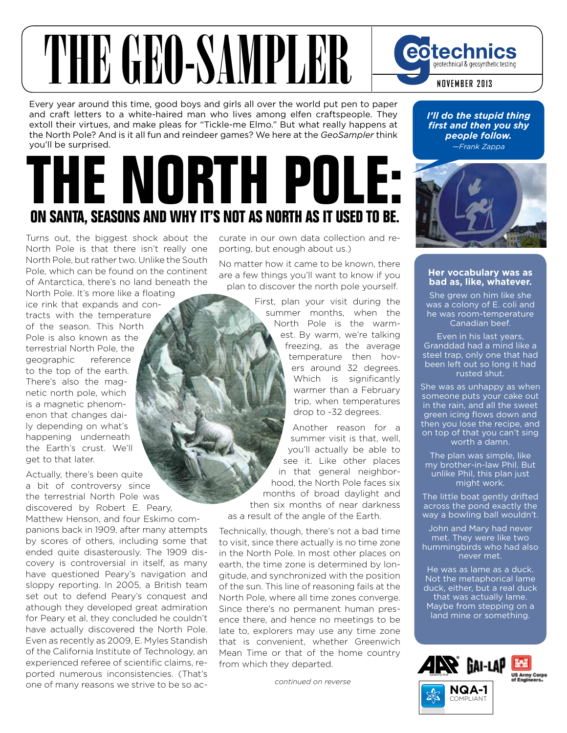## THE GEO-SAMPLER eotechnics geotechnical & geosynthetic testing **NOVEMBER 2013**

Every year around this time, good boys and girls all over the world put pen to paper and craft letters to a white-haired man who lives among elfen craftspeople. They extoll their virtues, and make pleas for "Tickle-me Elmo." But what really happens at the North Pole? And is it all fun and reindeer games? We here at the *GeoSampler* think you'll be surprised.

## **THE NORTH POLE: ON SANTA, SEASONS AND WHY IT'S NOT AS NORTH AS IT USED TO BE.**

Turns out, the biggest shock about the North Pole is that there isn't really one North Pole, but rather two. Unlike the South Pole, which can be found on the continent of Antarctica, there's no land beneath the North Pole. It's more like a floating

ice rink that expands and contracts with the temperature of the season. This North Pole is also known as the terrestrial North Pole, the geographic reference to the top of the earth. There's also the magnetic north pole, which is a magnetic phenomenon that changes daily depending on what's happening underneath the Earth's crust. We'll get to that later.

Actually, there's been quite a bit of controversy since the terrestrial North Pole was discovered by Robert E. Peary,

Matthew Henson, and four Eskimo companions back in 1909, after many attempts by scores of others, including some that ended quite disasterously. The 1909 discovery is controversial in itself, as many have questioned Peary's navigation and sloppy reporting. In 2005, a British team set out to defend Peary's conquest and athough they developed great admiration for Peary et al, they concluded he couldn't have actually discovered the North Pole. Even as recently as 2009, E. Myles Standish of the California Institute of Technology, an experienced referee of scientific claims, reported numerous inconsistencies. (That's one of many reasons we strive to be so accurate in our own data collection and reporting, but enough about us.)

No matter how it came to be known, there are a few things you'll want to know if you plan to discover the north pole yourself.

> First, plan your visit during the summer months, when the North Pole is the warmest. By warm, we're talking freezing, as the average temperature then hovers around 32 degrees. Which is significantly warmer than a February trip, when temperatures drop to -32 degrees.

Another reason for a summer visit is that, well, you'll actually be able to see it. Like other places in that general neighborhood, the North Pole faces six months of broad daylight and then six months of near darkness as a result of the angle of the Earth.

Technically, though, there's not a bad time to visit, since there actually is no time zone in the North Pole. In most other places on earth, the time zone is determined by longitude, and synchronized with the position of the sun. This line of reasoning fails at the North Pole, where all time zones converge. Since there's no permanent human presence there, and hence no meetings to be late to, explorers may use any time zone that is convenient, whether Greenwich Mean Time or that of the home country from which they departed.

*continued on reverse*

*I'll do the stupid thing first and then you shy people follow. —Frank Zappa*



## **Her vocabulary was as bad as, like, whatever.**

She grew on him like she was a colony of E. coli and he was room-temperature Canadian beef.

Even in his last years, Granddad had a mind like a steel trap, only one that had been left out so long it had rusted shut.

She was as unhappy as when someone puts your cake out in the rain, and all the sweet green icing flows down and then you lose the recipe, and on top of that you can't sing worth a damn.

The plan was simple, like my brother-in-law Phil. But unlike Phil, this plan just might work.

The little boat gently drifted across the pond exactly the way a bowling ball wouldn't.

John and Mary had never met. They were like two hummingbirds who had also never met.

He was as lame as a duck. Not the metaphorical lame duck, either, but a real duck that was actually lame. Maybe from stepping on a land mine or something.